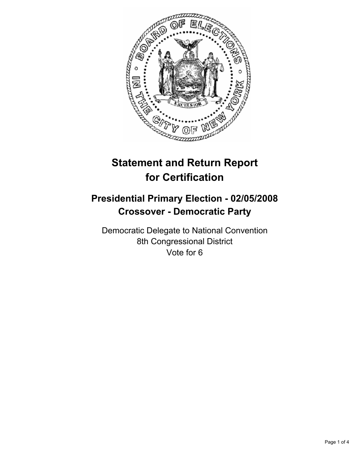

# **Statement and Return Report for Certification**

## **Presidential Primary Election - 02/05/2008 Crossover - Democratic Party**

Democratic Delegate to National Convention 8th Congressional District Vote for 6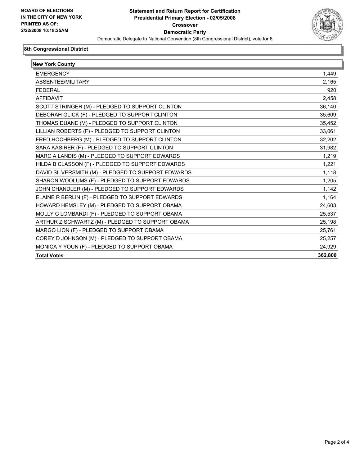

#### **8th Congressional District**

| <b>New York County</b>                             |         |
|----------------------------------------------------|---------|
| <b>EMERGENCY</b>                                   | 1,449   |
| ABSENTEE/MILITARY                                  | 2,165   |
| <b>FEDERAL</b>                                     | 920     |
| <b>AFFIDAVIT</b>                                   | 2,458   |
| SCOTT STRINGER (M) - PLEDGED TO SUPPORT CLINTON    | 36,140  |
| DEBORAH GLICK (F) - PLEDGED TO SUPPORT CLINTON     | 35,609  |
| THOMAS DUANE (M) - PLEDGED TO SUPPORT CLINTON      | 35,452  |
| LILLIAN ROBERTS (F) - PLEDGED TO SUPPORT CLINTON   | 33,061  |
| FRED HOCHBERG (M) - PLEDGED TO SUPPORT CLINTON     | 32,202  |
| SARA KASIRER (F) - PLEDGED TO SUPPORT CLINTON      | 31,982  |
| MARC A LANDIS (M) - PLEDGED TO SUPPORT EDWARDS     | 1,219   |
| HILDA B CLASSON (F) - PLEDGED TO SUPPORT EDWARDS   | 1,221   |
| DAVID SILVERSMITH (M) - PLEDGED TO SUPPORT EDWARDS | 1,118   |
| SHARON WOOLUMS (F) - PLEDGED TO SUPPORT EDWARDS    | 1,205   |
| JOHN CHANDLER (M) - PLEDGED TO SUPPORT EDWARDS     | 1,142   |
| ELAINE R BERLIN (F) - PLEDGED TO SUPPORT EDWARDS   | 1,164   |
| HOWARD HEMSLEY (M) - PLEDGED TO SUPPORT OBAMA      | 24,603  |
| MOLLY C LOMBARDI (F) - PLEDGED TO SUPPORT OBAMA    | 25,537  |
| ARTHUR Z SCHWARTZ (M) - PLEDGED TO SUPPORT OBAMA   | 25,198  |
| MARGO LION (F) - PLEDGED TO SUPPORT OBAMA          | 25,761  |
| COREY D JOHNSON (M) - PLEDGED TO SUPPORT OBAMA     | 25,257  |
| MONICA Y YOUN (F) - PLEDGED TO SUPPORT OBAMA       | 24,929  |
| <b>Total Votes</b>                                 | 362,800 |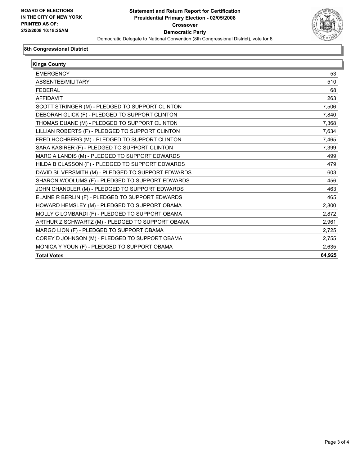

#### **8th Congressional District**

| <b>Kings County</b>                                |        |
|----------------------------------------------------|--------|
| <b>EMERGENCY</b>                                   | 53     |
| ABSENTEE/MILITARY                                  | 510    |
| <b>FEDERAL</b>                                     | 68     |
| <b>AFFIDAVIT</b>                                   | 263    |
| SCOTT STRINGER (M) - PLEDGED TO SUPPORT CLINTON    | 7,506  |
| DEBORAH GLICK (F) - PLEDGED TO SUPPORT CLINTON     | 7,840  |
| THOMAS DUANE (M) - PLEDGED TO SUPPORT CLINTON      | 7,368  |
| LILLIAN ROBERTS (F) - PLEDGED TO SUPPORT CLINTON   | 7,634  |
| FRED HOCHBERG (M) - PLEDGED TO SUPPORT CLINTON     | 7,465  |
| SARA KASIRER (F) - PLEDGED TO SUPPORT CLINTON      | 7.399  |
| MARC A LANDIS (M) - PLEDGED TO SUPPORT EDWARDS     | 499    |
| HILDA B CLASSON (F) - PLEDGED TO SUPPORT EDWARDS   | 479    |
| DAVID SILVERSMITH (M) - PLEDGED TO SUPPORT EDWARDS | 603    |
| SHARON WOOLUMS (F) - PLEDGED TO SUPPORT EDWARDS    | 456    |
| JOHN CHANDLER (M) - PLEDGED TO SUPPORT EDWARDS     | 463    |
| ELAINE R BERLIN (F) - PLEDGED TO SUPPORT EDWARDS   | 465    |
| HOWARD HEMSLEY (M) - PLEDGED TO SUPPORT OBAMA      | 2,800  |
| MOLLY C LOMBARDI (F) - PLEDGED TO SUPPORT OBAMA    | 2.872  |
| ARTHUR Z SCHWARTZ (M) - PLEDGED TO SUPPORT OBAMA   | 2,961  |
| MARGO LION (F) - PLEDGED TO SUPPORT OBAMA          | 2,725  |
| COREY D JOHNSON (M) - PLEDGED TO SUPPORT OBAMA     | 2,755  |
| MONICA Y YOUN (F) - PLEDGED TO SUPPORT OBAMA       | 2,635  |
| <b>Total Votes</b>                                 | 64,925 |
|                                                    |        |